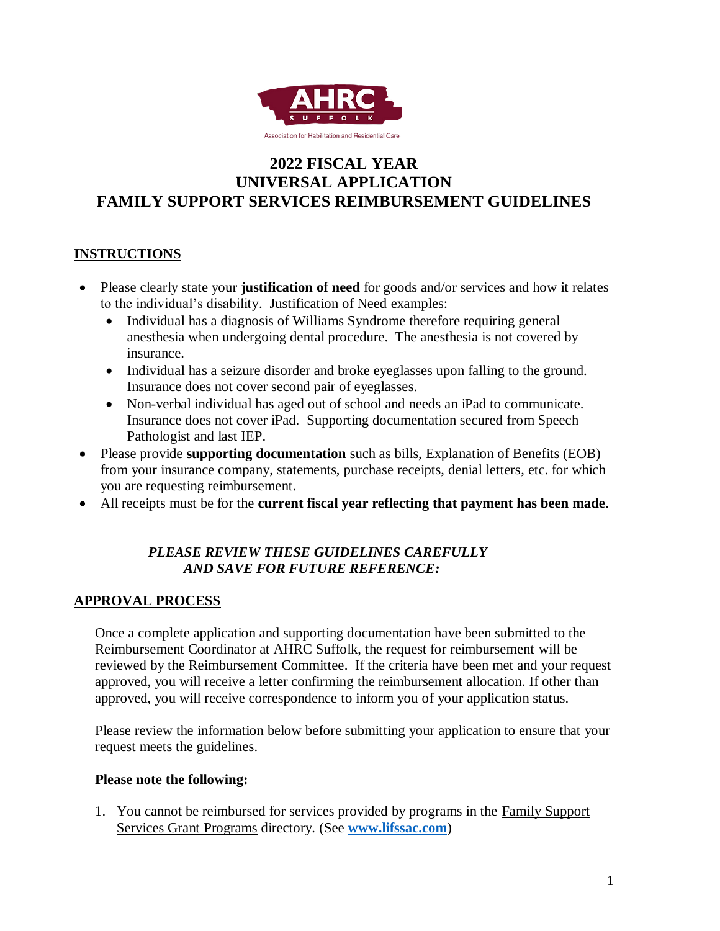

# **2022 FISCAL YEAR UNIVERSAL APPLICATION FAMILY SUPPORT SERVICES REIMBURSEMENT GUIDELINES**

## **INSTRUCTIONS**

- Please clearly state your **justification of need** for goods and/or services and how it relates to the individual's disability. Justification of Need examples:
	- Individual has a diagnosis of Williams Syndrome therefore requiring general anesthesia when undergoing dental procedure. The anesthesia is not covered by insurance.
	- Individual has a seizure disorder and broke eyeglasses upon falling to the ground. Insurance does not cover second pair of eyeglasses.
	- Non-verbal individual has aged out of school and needs an iPad to communicate. Insurance does not cover iPad. Supporting documentation secured from Speech Pathologist and last IEP.
- Please provide **supporting documentation** such as bills, Explanation of Benefits (EOB) from your insurance company, statements, purchase receipts, denial letters, etc. for which you are requesting reimbursement.
- All receipts must be for the **current fiscal year reflecting that payment has been made**.

## *PLEASE REVIEW THESE GUIDELINES CAREFULLY AND SAVE FOR FUTURE REFERENCE:*

## **APPROVAL PROCESS**

Once a complete application and supporting documentation have been submitted to the Reimbursement Coordinator at AHRC Suffolk, the request for reimbursement will be reviewed by the Reimbursement Committee. If the criteria have been met and your request approved, you will receive a letter confirming the reimbursement allocation. If other than approved, you will receive correspondence to inform you of your application status.

Please review the information below before submitting your application to ensure that your request meets the guidelines.

#### **Please note the following:**

1. You cannot be reimbursed for services provided by programs in the Family Support Services Grant Programs directory. (See **[www.lifssac.com](http://www.lifssac.com/)**)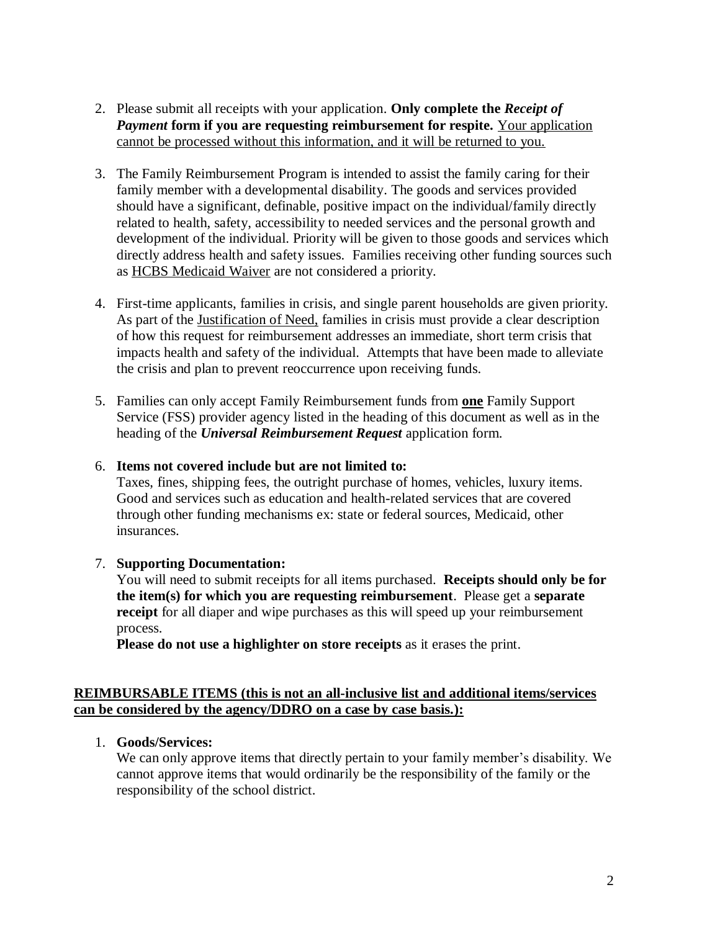- 2. Please submit all receipts with your application. **Only complete the** *Receipt of Payment* **form if you are requesting reimbursement for respite.** Your application cannot be processed without this information, and it will be returned to you.
- 3. The Family Reimbursement Program is intended to assist the family caring for their family member with a developmental disability. The goods and services provided should have a significant, definable, positive impact on the individual/family directly related to health, safety, accessibility to needed services and the personal growth and development of the individual. Priority will be given to those goods and services which directly address health and safety issues. Families receiving other funding sources such as HCBS Medicaid Waiver are not considered a priority.
- 4. First-time applicants, families in crisis, and single parent households are given priority. As part of the Justification of Need, families in crisis must provide a clear description of how this request for reimbursement addresses an immediate, short term crisis that impacts health and safety of the individual. Attempts that have been made to alleviate the crisis and plan to prevent reoccurrence upon receiving funds.
- 5. Families can only accept Family Reimbursement funds from **one** Family Support Service (FSS) provider agency listed in the heading of this document as well as in the heading of the *Universal Reimbursement Request* application form.
- 6. **Items not covered include but are not limited to:**

Taxes, fines, shipping fees, the outright purchase of homes, vehicles, luxury items. Good and services such as education and health-related services that are covered through other funding mechanisms ex: state or federal sources, Medicaid, other insurances.

#### 7. **Supporting Documentation:**

You will need to submit receipts for all items purchased. **Receipts should only be for the item(s) for which you are requesting reimbursement**. Please get a **separate receipt** for all diaper and wipe purchases as this will speed up your reimbursement process.

**Please do not use a highlighter on store receipts** as it erases the print.

#### **REIMBURSABLE ITEMS (this is not an all-inclusive list and additional items/services can be considered by the agency/DDRO on a case by case basis.):**

#### 1. **Goods/Services:**

We can only approve items that directly pertain to your family member's disability. We cannot approve items that would ordinarily be the responsibility of the family or the responsibility of the school district.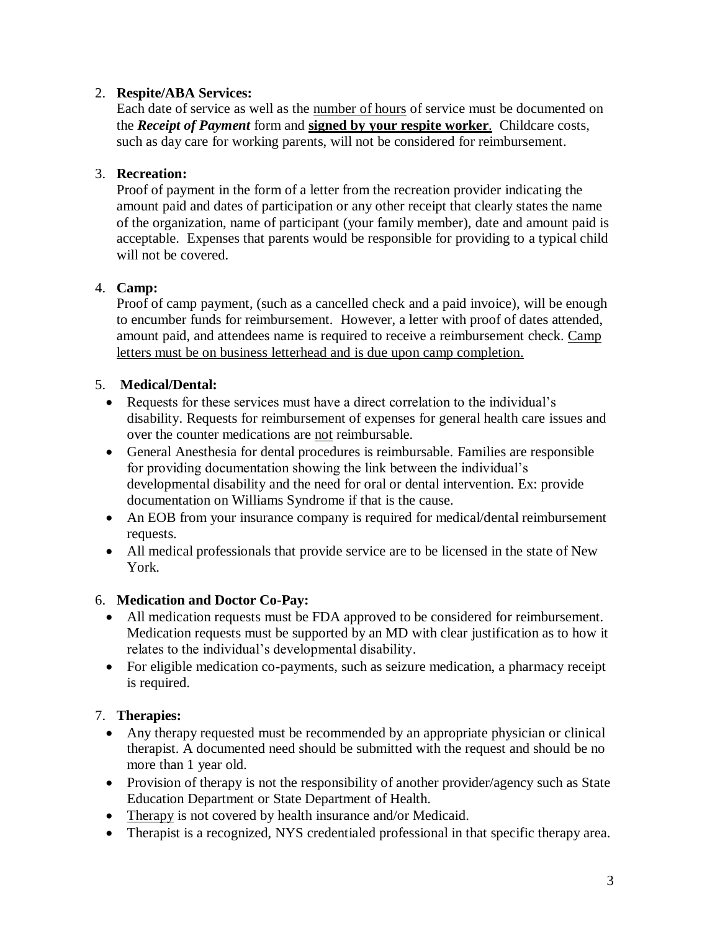#### 2. **Respite/ABA Services:**

Each date of service as well as the number of hours of service must be documented on the *Receipt of Payment* form and **signed by your respite worker**. Childcare costs, such as day care for working parents, will not be considered for reimbursement.

## 3. **Recreation:**

Proof of payment in the form of a letter from the recreation provider indicating the amount paid and dates of participation or any other receipt that clearly states the name of the organization, name of participant (your family member), date and amount paid is acceptable. Expenses that parents would be responsible for providing to a typical child will not be covered.

## 4. **Camp:**

Proof of camp payment, (such as a cancelled check and a paid invoice), will be enough to encumber funds for reimbursement. However, a letter with proof of dates attended, amount paid, and attendees name is required to receive a reimbursement check. Camp letters must be on business letterhead and is due upon camp completion.

## 5. **Medical/Dental:**

- Requests for these services must have a direct correlation to the individual's disability. Requests for reimbursement of expenses for general health care issues and over the counter medications are not reimbursable.
- General Anesthesia for dental procedures is reimbursable. Families are responsible for providing documentation showing the link between the individual's developmental disability and the need for oral or dental intervention. Ex: provide documentation on Williams Syndrome if that is the cause.
- An EOB from your insurance company is required for medical/dental reimbursement requests.
- All medical professionals that provide service are to be licensed in the state of New York.

#### 6. **Medication and Doctor Co-Pay:**

- All medication requests must be FDA approved to be considered for reimbursement. Medication requests must be supported by an MD with clear justification as to how it relates to the individual's developmental disability.
- For eligible medication co-payments, such as seizure medication, a pharmacy receipt is required.

## 7. **Therapies:**

- Any therapy requested must be recommended by an appropriate physician or clinical therapist. A documented need should be submitted with the request and should be no more than 1 year old.
- Provision of therapy is not the responsibility of another provider/agency such as State Education Department or State Department of Health.
- Therapy is not covered by health insurance and/or Medicaid.
- Therapist is a recognized, NYS credentialed professional in that specific therapy area.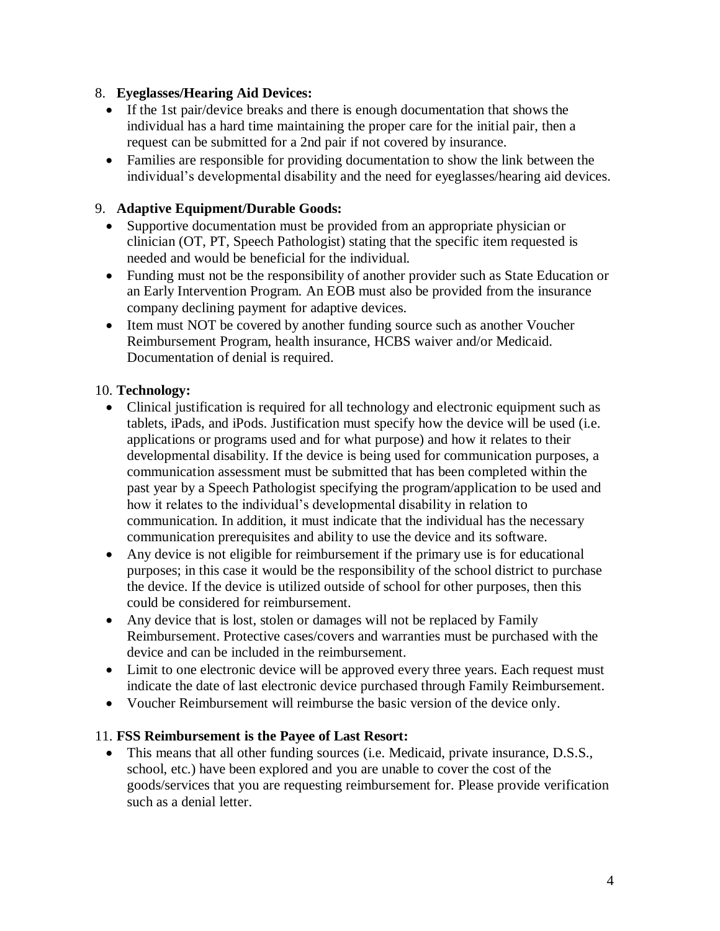#### 8. **Eyeglasses/Hearing Aid Devices:**

- If the 1st pair/device breaks and there is enough documentation that shows the individual has a hard time maintaining the proper care for the initial pair, then a request can be submitted for a 2nd pair if not covered by insurance.
- Families are responsible for providing documentation to show the link between the individual's developmental disability and the need for eyeglasses/hearing aid devices.

## 9. **Adaptive Equipment/Durable Goods:**

- Supportive documentation must be provided from an appropriate physician or clinician (OT, PT, Speech Pathologist) stating that the specific item requested is needed and would be beneficial for the individual.
- Funding must not be the responsibility of another provider such as State Education or an Early Intervention Program. An EOB must also be provided from the insurance company declining payment for adaptive devices.
- Item must NOT be covered by another funding source such as another Voucher Reimbursement Program, health insurance, HCBS waiver and/or Medicaid. Documentation of denial is required.

#### 10. **Technology:**

- Clinical justification is required for all technology and electronic equipment such as tablets, iPads, and iPods. Justification must specify how the device will be used (i.e. applications or programs used and for what purpose) and how it relates to their developmental disability. If the device is being used for communication purposes, a communication assessment must be submitted that has been completed within the past year by a Speech Pathologist specifying the program/application to be used and how it relates to the individual's developmental disability in relation to communication. In addition, it must indicate that the individual has the necessary communication prerequisites and ability to use the device and its software.
- Any device is not eligible for reimbursement if the primary use is for educational purposes; in this case it would be the responsibility of the school district to purchase the device. If the device is utilized outside of school for other purposes, then this could be considered for reimbursement.
- Any device that is lost, stolen or damages will not be replaced by Family Reimbursement. Protective cases/covers and warranties must be purchased with the device and can be included in the reimbursement.
- Limit to one electronic device will be approved every three years. Each request must indicate the date of last electronic device purchased through Family Reimbursement.
- Voucher Reimbursement will reimburse the basic version of the device only.

#### 11. **FSS Reimbursement is the Payee of Last Resort:**

 This means that all other funding sources (i.e. Medicaid, private insurance, D.S.S., school, etc.) have been explored and you are unable to cover the cost of the goods/services that you are requesting reimbursement for. Please provide verification such as a denial letter.